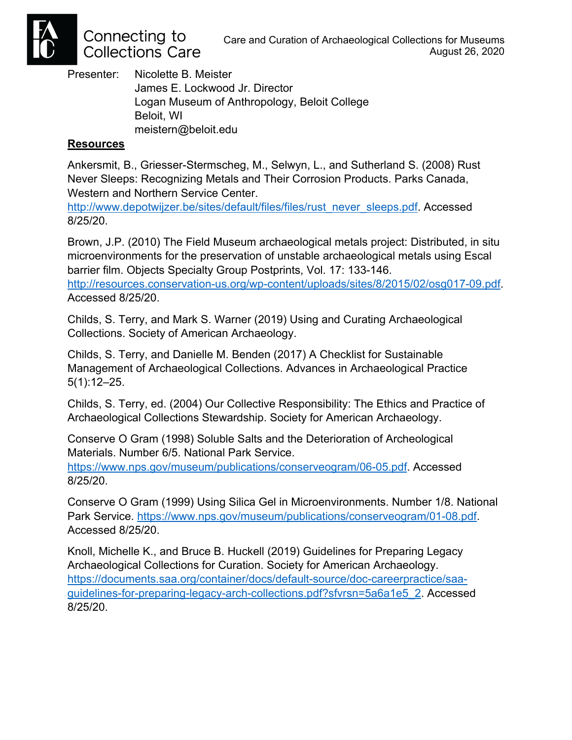

Connecting to **Collections Care** 

Presenter: Nicolette B. Meister James E. Lockwood Jr. Director Logan Museum of Anthropology, Beloit College Beloit, WI meistern@beloit.edu

## **Resources**

Ankersmit, B., Griesser-Stermscheg, M., Selwyn, L., and Sutherland S. (2008) Rust Never Sleeps: Recognizing Metals and Their Corrosion Products. Parks Canada, Western and Northern Service Center.

http://www.depotwijzer.be/sites/default/files/files/rust\_never\_sleeps.pdf. Accessed 8/25/20.

Brown, J.P. (2010) The Field Museum archaeological metals project: Distributed, in situ microenvironments for the preservation of unstable archaeological metals using Escal barrier film. Objects Specialty Group Postprints, Vol. 17: 133-146. http://resources.conservation-us.org/wp-content/uploads/sites/8/2015/02/osg017-09.pdf. Accessed 8/25/20.

Childs, S. Terry, and Mark S. Warner (2019) Using and Curating Archaeological Collections. Society of American Archaeology.

Childs, S. Terry, and Danielle M. Benden (2017) A Checklist for Sustainable Management of Archaeological Collections. Advances in Archaeological Practice 5(1):12–25.

Childs, S. Terry, ed. (2004) Our Collective Responsibility: The Ethics and Practice of Archaeological Collections Stewardship. Society for American Archaeology.

Conserve O Gram (1998) Soluble Salts and the Deterioration of Archeological Materials. Number 6/5. National Park Service.

https://www.nps.gov/museum/publications/conserveogram/06-05.pdf. Accessed 8/25/20.

Conserve O Gram (1999) Using Silica Gel in Microenvironments. Number 1/8. National Park Service. https://www.nps.gov/museum/publications/conserveogram/01-08.pdf. Accessed 8/25/20.

Knoll, Michelle K., and Bruce B. Huckell (2019) Guidelines for Preparing Legacy Archaeological Collections for Curation. Society for American Archaeology. https://documents.saa.org/container/docs/default-source/doc-careerpractice/saaguidelines-for-preparing-legacy-arch-collections.pdf?sfvrsn=5a6a1e5\_2. Accessed 8/25/20.